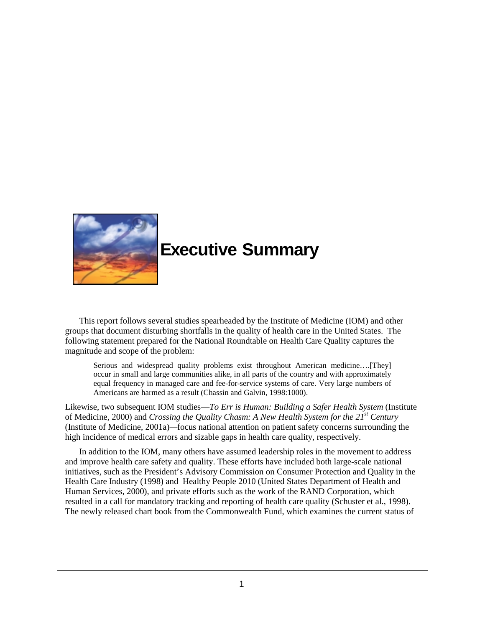

# **Executive Summary**

This report follows several studies spearheaded by the Institute of Medicine (IOM) and other groups that document disturbing shortfalls in the quality of health care in the United States. The following statement prepared for the National Roundtable on Health Care Quality captures the magnitude and scope of the problem:

Serious and widespread quality problems exist throughout American medicine….[They] occur in small and large communities alike, in all parts of the country and with approximately equal frequency in managed care and fee-for-service systems of care. Very large numbers of Americans are harmed as a result (Chassin and Galvin, 1998:1000).

Likewise, two subsequent IOM studies—*To Err is Human: Building a Safer Health System* (Institute of Medicine, 2000) and *Crossing the Quality Chasm: A New Health System for the 21st Century* (Institute of Medicine, 2001a)*—*focus national attention on patient safety concerns surrounding the high incidence of medical errors and sizable gaps in health care quality, respectively.

In addition to the IOM, many others have assumed leadership roles in the movement to address and improve health care safety and quality. These efforts have included both large-scale national initiatives, such as the President's Advisory Commission on Consumer Protection and Quality in the Health Care Industry (1998) and Healthy People 2010 (United States Department of Health and Human Services, 2000), and private efforts such as the work of the RAND Corporation, which resulted in a call for mandatory tracking and reporting of health care quality (Schuster et al., 1998). The newly released chart book from the Commonwealth Fund, which examines the current status of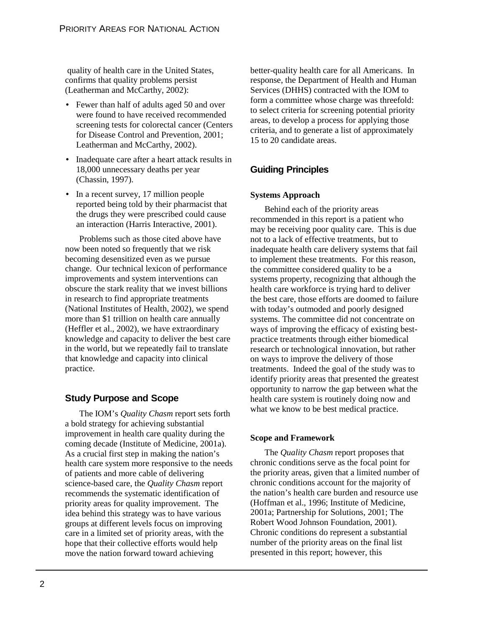quality of health care in the United States, confirms that quality problems persist (Leatherman and McCarthy, 2002):

- Fewer than half of adults aged 50 and over were found to have received recommended screening tests for colorectal cancer (Centers for Disease Control and Prevention, 2001; Leatherman and McCarthy, 2002).
- Inadequate care after a heart attack results in 18,000 unnecessary deaths per year (Chassin, 1997).
- In a recent survey, 17 million people reported being told by their pharmacist that the drugs they were prescribed could cause an interaction (Harris Interactive, 2001).

Problems such as those cited above have now been noted so frequently that we risk becoming desensitized even as we pursue change. Our technical lexicon of performance improvements and system interventions can obscure the stark reality that we invest billions in research to find appropriate treatments (National Institutes of Health, 2002), we spend more than \$1 trillion on health care annually (Heffler et al., 2002), we have extraordinary knowledge and capacity to deliver the best care in the world, but we repeatedly fail to translate that knowledge and capacity into clinical practice.

# **Study Purpose and Scope**

The IOM's *Quality Chasm* report sets forth a bold strategy for achieving substantial improvement in health care quality during the coming decade (Institute of Medicine, 2001a). As a crucial first step in making the nation's health care system more responsive to the needs of patients and more cable of delivering science-based care, the *Quality Chasm* report recommends the systematic identification of priority areas for quality improvement. The idea behind this strategy was to have various groups at different levels focus on improving care in a limited set of priority areas, with the hope that their collective efforts would help move the nation forward toward achieving

better-quality health care for all Americans. In response, the Department of Health and Human Services (DHHS) contracted with the IOM to form a committee whose charge was threefold: to select criteria for screening potential priority areas, to develop a process for applying those criteria, and to generate a list of approximately 15 to 20 candidate areas.

# **Guiding Principles**

## **Systems Approach**

Behind each of the priority areas recommended in this report is a patient who may be receiving poor quality care. This is due not to a lack of effective treatments, but to inadequate health care delivery systems that fail to implement these treatments. For this reason, the committee considered quality to be a systems property, recognizing that although the health care workforce is trying hard to deliver the best care, those efforts are doomed to failure with today's outmoded and poorly designed systems. The committee did not concentrate on ways of improving the efficacy of existing bestpractice treatments through either biomedical research or technological innovation, but rather on ways to improve the delivery of those treatments. Indeed the goal of the study was to identify priority areas that presented the greatest opportunity to narrow the gap between what the health care system is routinely doing now and what we know to be best medical practice.

## **Scope and Framework**

The *Quality Chasm* report proposes that chronic conditions serve as the focal point for the priority areas, given that a limited number of chronic conditions account for the majority of the nation's health care burden and resource use (Hoffman et al., 1996; Institute of Medicine, 2001a; Partnership for Solutions, 2001; The Robert Wood Johnson Foundation, 2001). Chronic conditions do represent a substantial number of the priority areas on the final list presented in this report; however, this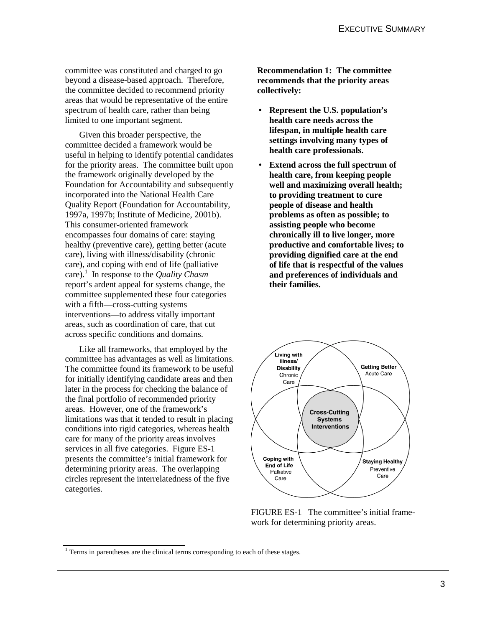committee was constituted and charged to go beyond a disease-based approach. Therefore, the committee decided to recommend priority areas that would be representative of the entire spectrum of health care, rather than being limited to one important segment.

Given this broader perspective, the committee decided a framework would be useful in helping to identify potential candidates for the priority areas. The committee built upon the framework originally developed by the Foundation for Accountability and subsequently incorporated into the National Health Care Quality Report (Foundation for Accountability, 1997a, 1997b; Institute of Medicine, 2001b). This consumer-oriented framework encompasses four domains of care: staying healthy (preventive care), getting better (acute care), living with illness/disability (chronic care), and coping with end of life (palliative care).<sup>1</sup> In response to the *Quality Chasm* report's ardent appeal for systems change, the committee supplemented these four categories with a fifth—cross-cutting systems interventions—to address vitally important areas, such as coordination of care, that cut across specific conditions and domains.

Like all frameworks, that employed by the committee has advantages as well as limitations. The committee found its framework to be useful for initially identifying candidate areas and then later in the process for checking the balance of the final portfolio of recommended priority areas. However, one of the framework's limitations was that it tended to result in placing conditions into rigid categories, whereas health care for many of the priority areas involves services in all five categories. Figure ES-1 presents the committee's initial framework for determining priority areas. The overlapping circles represent the interrelatedness of the five categories.

**Recommendation 1: The committee recommends that the priority areas collectively:** 

- **Represent the U.S. population's health care needs across the lifespan, in multiple health care settings involving many types of health care professionals.**
- **Extend across the full spectrum of health care, from keeping people well and maximizing overall health; to providing treatment to cure people of disease and health problems as often as possible; to assisting people who become chronically ill to live longer, more productive and comfortable lives; to providing dignified care at the end of life that is respectful of the values and preferences of individuals and their families.**



FIGURE ES-1 The committee's initial framework for determining priority areas.

<sup>&</sup>lt;sup>1</sup> Terms in parentheses are the clinical terms corresponding to each of these stages.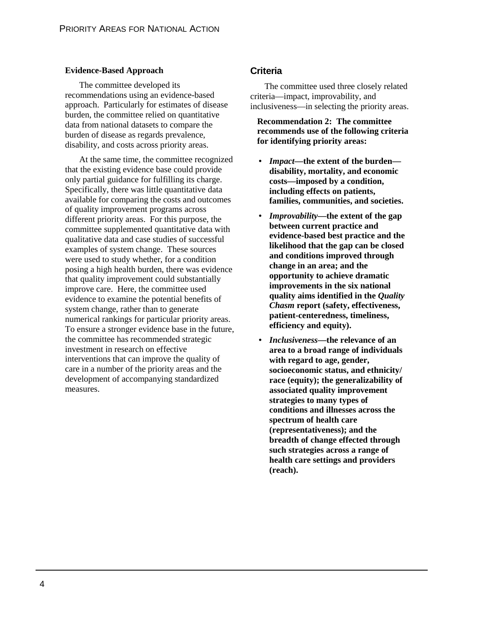#### **Evidence-Based Approach**

The committee developed its recommendations using an evidence-based approach. Particularly for estimates of disease burden, the committee relied on quantitative data from national datasets to compare the burden of disease as regards prevalence, disability, and costs across priority areas.

At the same time, the committee recognized that the existing evidence base could provide only partial guidance for fulfilling its charge. Specifically, there was little quantitative data available for comparing the costs and outcomes of quality improvement programs across different priority areas. For this purpose, the committee supplemented quantitative data with qualitative data and case studies of successful examples of system change. These sources were used to study whether, for a condition posing a high health burden, there was evidence that quality improvement could substantially improve care. Here, the committee used evidence to examine the potential benefits of system change, rather than to generate numerical rankings for particular priority areas. To ensure a stronger evidence base in the future, the committee has recommended strategic investment in research on effective interventions that can improve the quality of care in a number of the priority areas and the development of accompanying standardized measures.

## **Criteria**

The committee used three closely related criteria—impact, improvability, and inclusiveness—in selecting the priority areas.

#### **Recommendation 2: The committee recommends use of the following criteria for identifying priority areas:**

- *Impact***—the extent of the burden disability, mortality, and economic costs—imposed by a condition, including effects on patients, families, communities, and societies.**
- *Improvability***—the extent of the gap between current practice and evidence-based best practice and the likelihood that the gap can be closed and conditions improved through change in an area; and the opportunity to achieve dramatic improvements in the six national quality aims identified in the** *Quality Chasm* **report (safety, effectiveness, patient-centeredness, timeliness, efficiency and equity).**
- *Inclusiveness***—the relevance of an area to a broad range of individuals with regard to age, gender, socioeconomic status, and ethnicity/ race (equity); the generalizability of associated quality improvement strategies to many types of conditions and illnesses across the spectrum of health care (representativeness); and the breadth of change effected through such strategies across a range of health care settings and providers (reach).**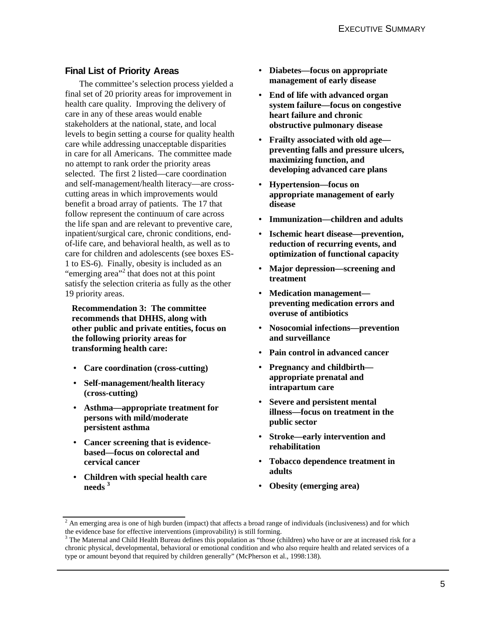## **Final List of Priority Areas**

The committee's selection process yielded a final set of 20 priority areas for improvement in health care quality. Improving the delivery of care in any of these areas would enable stakeholders at the national, state, and local levels to begin setting a course for quality health care while addressing unacceptable disparities in care for all Americans. The committee made no attempt to rank order the priority areas selected. The first 2 listed—care coordination and self-management/health literacy—are crosscutting areas in which improvements would benefit a broad array of patients. The 17 that follow represent the continuum of care across the life span and are relevant to preventive care, inpatient/surgical care, chronic conditions, endof-life care, and behavioral health, as well as to care for children and adolescents (see boxes ES-1 to ES-6). Finally, obesity is included as an "emerging area"<sup>2</sup> that does not at this point satisfy the selection criteria as fully as the other 19 priority areas.

**Recommendation 3: The committee recommends that DHHS, along with other public and private entities, focus on the following priority areas for transforming health care:** 

- **Care coordination (cross-cutting)**
- **Self-management/health literacy (cross-cutting)**
- **Asthma—appropriate treatment for persons with mild/moderate persistent asthma**
- **Cancer screening that is evidencebased—focus on colorectal and cervical cancer**
- **Children with special health care needs 3**
- **Diabetes—focus on appropriate management of early disease**
- **End of life with advanced organ system failure—focus on congestive heart failure and chronic obstructive pulmonary disease**
- **Frailty associated with old age preventing falls and pressure ulcers, maximizing function, and developing advanced care plans**
- **Hypertension—focus on appropriate management of early disease**
- **Immunization—children and adults**
- **Ischemic heart disease—prevention, reduction of recurring events, and optimization of functional capacity**
- **Major depression—screening and treatment**
- **Medication management preventing medication errors and overuse of antibiotics**
- **Nosocomial infections—prevention and surveillance**
- **Pain control in advanced cancer**
- **Pregnancy and childbirth appropriate prenatal and intrapartum care**
- **Severe and persistent mental illness—focus on treatment in the public sector**
- **Stroke—early intervention and rehabilitation**
- **Tobacco dependence treatment in adults**
- **Obesity (emerging area)**

<sup>2</sup> An emerging area is one of high burden (impact) that affects a broad range of individuals (inclusiveness) and for which the evidence base for effective interventions (improvability) is still forming.

<sup>&</sup>lt;sup>3</sup> The Maternal and Child Health Bureau defines this population as "those (children) who have or are at increased risk for a chronic physical, developmental, behavioral or emotional condition and who also require health and related services of a type or amount beyond that required by children generally" (McPherson et al., 1998:138).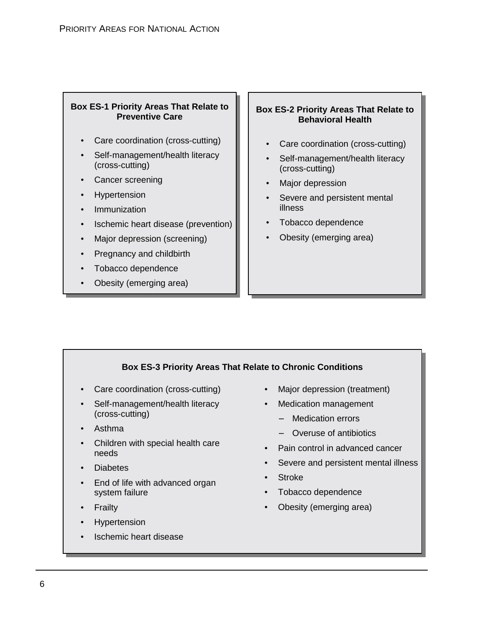# **Box ES-1 Priority Areas That Relate to Preventive Care**

- Care coordination (cross-cutting)
- Self-management/health literacy (cross-cutting)
- Cancer screening
- Hypertension
- Immunization
- Ischemic heart disease (prevention)
- Major depression (screening)
- Pregnancy and childbirth
- Tobacco dependence
- Obesity (emerging area)

# **Box ES-2 Priority Areas That Relate to Behavioral Health**

- Care coordination (cross-cutting)
- Self-management/health literacy (cross-cutting)
- Major depression
- Severe and persistent mental illness
- Tobacco dependence
- Obesity (emerging area)

## **Box ES-3 Priority Areas That Relate to Chronic Conditions**

- Care coordination (cross-cutting)
- Self-management/health literacy (cross-cutting)
- Asthma
- Children with special health care needs
- Diabetes
- End of life with advanced organ system failure
- **Frailty**
- **Hypertension**
- Ischemic heart disease
- Major depression (treatment)
- Medication management
	- − Medication errors
	- − Overuse of antibiotics
- Pain control in advanced cancer
- Severe and persistent mental illness
- Stroke
- Tobacco dependence
- Obesity (emerging area)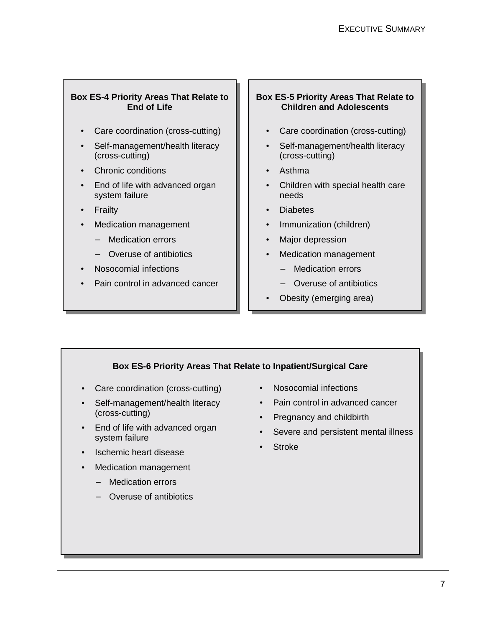## **Box ES-4 Priority Areas That Relate to End of Life**

- Care coordination (cross-cutting)
- Self-management/health literacy (cross-cutting)
- Chronic conditions
- End of life with advanced organ system failure
- **Frailty**
- Medication management
	- − Medication errors
	- − Overuse of antibiotics
- Nosocomial infections
- Pain control in advanced cancer

# **Box ES-5 Priority Areas That Relate to Children and Adolescents**

- Care coordination (cross-cutting)
- Self-management/health literacy (cross-cutting)
- Asthma
- Children with special health care needs
- **Diabetes**
- Immunization (children)
- Major depression
- Medication management
	- − Medication errors
	- − Overuse of antibiotics
- Obesity (emerging area)

## **Box ES-6 Priority Areas That Relate to Inpatient/Surgical Care**

- Care coordination (cross-cutting)
- Self-management/health literacy (cross-cutting)
- End of life with advanced organ system failure
- Ischemic heart disease
- Medication management
	- − Medication errors
	- Overuse of antibiotics
- Nosocomial infections
- Pain control in advanced cancer
- Pregnancy and childbirth
- Severe and persistent mental illness
- **Stroke**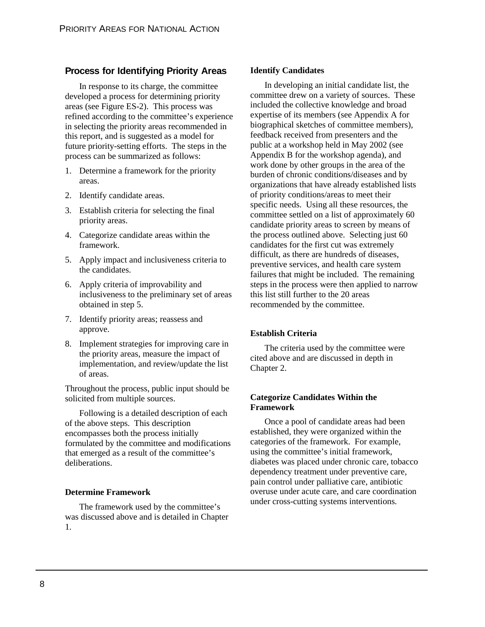## **Process for Identifying Priority Areas**

In response to its charge, the committee developed a process for determining priority areas (see Figure ES-2). This process was refined according to the committee's experience in selecting the priority areas recommended in this report, and is suggested as a model for future priority-setting efforts. The steps in the process can be summarized as follows:

- 1. Determine a framework for the priority areas.
- 2. Identify candidate areas.
- 3. Establish criteria for selecting the final priority areas.
- 4. Categorize candidate areas within the framework.
- 5. Apply impact and inclusiveness criteria to the candidates.
- 6. Apply criteria of improvability and inclusiveness to the preliminary set of areas obtained in step 5.
- 7. Identify priority areas; reassess and approve.
- 8. Implement strategies for improving care in the priority areas, measure the impact of implementation, and review/update the list of areas.

Throughout the process, public input should be solicited from multiple sources.

Following is a detailed description of each of the above steps. This description encompasses both the process initially formulated by the committee and modifications that emerged as a result of the committee's deliberations.

## **Determine Framework**

The framework used by the committee's was discussed above and is detailed in Chapter 1.

#### **Identify Candidates**

In developing an initial candidate list, the committee drew on a variety of sources. These included the collective knowledge and broad expertise of its members (see Appendix A for biographical sketches of committee members), feedback received from presenters and the public at a workshop held in May 2002 (see Appendix B for the workshop agenda), and work done by other groups in the area of the burden of chronic conditions/diseases and by organizations that have already established lists of priority conditions/areas to meet their specific needs. Using all these resources, the committee settled on a list of approximately 60 candidate priority areas to screen by means of the process outlined above. Selecting just 60 candidates for the first cut was extremely difficult, as there are hundreds of diseases, preventive services, and health care system failures that might be included. The remaining steps in the process were then applied to narrow this list still further to the 20 areas recommended by the committee.

## **Establish Criteria**

The criteria used by the committee were cited above and are discussed in depth in Chapter 2.

#### **Categorize Candidates Within the Framework**

Once a pool of candidate areas had been established, they were organized within the categories of the framework. For example, using the committee's initial framework, diabetes was placed under chronic care, tobacco dependency treatment under preventive care, pain control under palliative care, antibiotic overuse under acute care, and care coordination under cross-cutting systems interventions.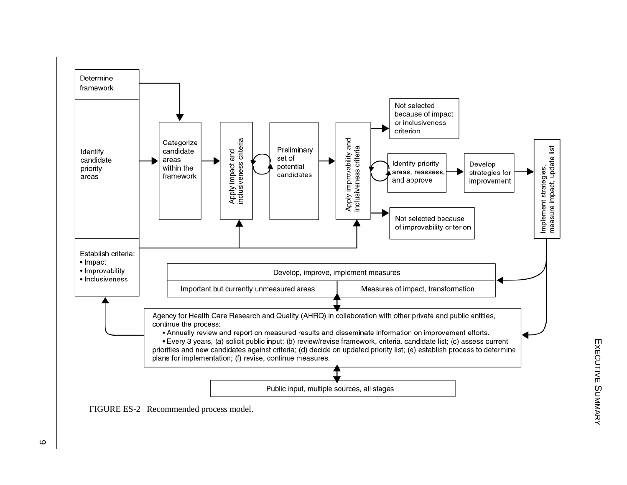

FIGURE ES-2 Recommended process model.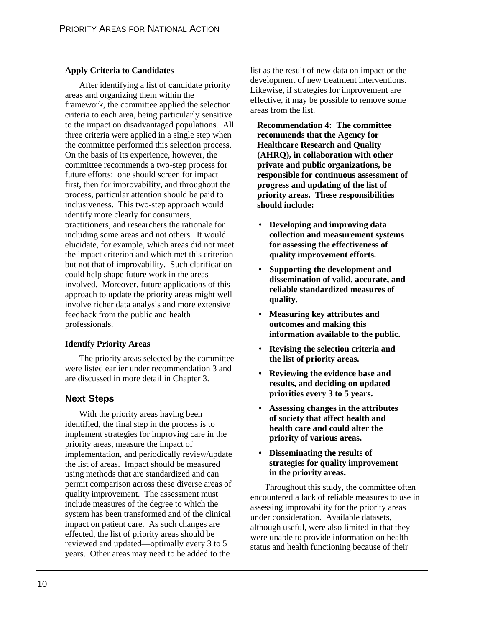## **Apply Criteria to Candidates**

After identifying a list of candidate priority areas and organizing them within the framework, the committee applied the selection criteria to each area, being particularly sensitive to the impact on disadvantaged populations. All three criteria were applied in a single step when the committee performed this selection process. On the basis of its experience, however, the committee recommends a two-step process for future efforts: one should screen for impact first, then for improvability, and throughout the process, particular attention should be paid to inclusiveness. This two-step approach would identify more clearly for consumers, practitioners, and researchers the rationale for including some areas and not others. It would elucidate, for example, which areas did not meet the impact criterion and which met this criterion but not that of improvability. Such clarification could help shape future work in the areas involved. Moreover, future applications of this approach to update the priority areas might well involve richer data analysis and more extensive feedback from the public and health professionals.

## **Identify Priority Areas**

The priority areas selected by the committee were listed earlier under recommendation 3 and are discussed in more detail in Chapter 3.

## **Next Steps**

With the priority areas having been identified, the final step in the process is to implement strategies for improving care in the priority areas, measure the impact of implementation, and periodically review/update the list of areas. Impact should be measured using methods that are standardized and can permit comparison across these diverse areas of quality improvement. The assessment must include measures of the degree to which the system has been transformed and of the clinical impact on patient care. As such changes are effected, the list of priority areas should be reviewed and updated—optimally every 3 to 5 years. Other areas may need to be added to the

list as the result of new data on impact or the development of new treatment interventions. Likewise, if strategies for improvement are effective, it may be possible to remove some areas from the list.

**Recommendation 4: The committee recommends that the Agency for Healthcare Research and Quality (AHRQ), in collaboration with other private and public organizations, be responsible for continuous assessment of progress and updating of the list of priority areas. These responsibilities should include:** 

- **Developing and improving data collection and measurement systems for assessing the effectiveness of quality improvement efforts.**
- **Supporting the development and dissemination of valid, accurate, and reliable standardized measures of quality.**
- **Measuring key attributes and outcomes and making this information available to the public.**
- **Revising the selection criteria and the list of priority areas.**
- **Reviewing the evidence base and results, and deciding on updated priorities every 3 to 5 years.**
- **Assessing changes in the attributes of society that affect health and health care and could alter the priority of various areas.**
- **Disseminating the results of strategies for quality improvement in the priority areas.**

Throughout this study, the committee often encountered a lack of reliable measures to use in assessing improvability for the priority areas under consideration. Available datasets, although useful, were also limited in that they were unable to provide information on health status and health functioning because of their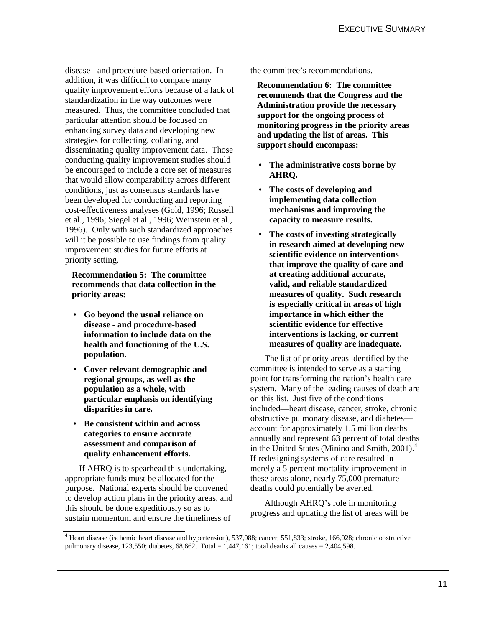disease - and procedure-based orientation. In addition, it was difficult to compare many quality improvement efforts because of a lack of standardization in the way outcomes were measured. Thus, the committee concluded that particular attention should be focused on enhancing survey data and developing new strategies for collecting, collating, and disseminating quality improvement data. Those conducting quality improvement studies should be encouraged to include a core set of measures that would allow comparability across different conditions, just as consensus standards have been developed for conducting and reporting cost-effectiveness analyses (Gold, 1996; Russell et al., 1996; Siegel et al., 1996; Weinstein et al., 1996). Only with such standardized approaches will it be possible to use findings from quality improvement studies for future efforts at priority setting.

**Recommendation 5: The committee recommends that data collection in the priority areas:** 

- **Go beyond the usual reliance on disease - and procedure-based information to include data on the health and functioning of the U.S. population.**
- **Cover relevant demographic and regional groups, as well as the population as a whole, with particular emphasis on identifying disparities in care.**
- **Be consistent within and across categories to ensure accurate assessment and comparison of quality enhancement efforts.**

If AHRQ is to spearhead this undertaking, appropriate funds must be allocated for the purpose. National experts should be convened to develop action plans in the priority areas, and this should be done expeditiously so as to sustain momentum and ensure the timeliness of

the committee's recommendations.

**Recommendation 6: The committee recommends that the Congress and the Administration provide the necessary support for the ongoing process of monitoring progress in the priority areas and updating the list of areas. This support should encompass:** 

- **The administrative costs borne by AHRQ.**
- **The costs of developing and implementing data collection mechanisms and improving the capacity to measure results.**
- **The costs of investing strategically in research aimed at developing new scientific evidence on interventions that improve the quality of care and at creating additional accurate, valid, and reliable standardized measures of quality. Such research is especially critical in areas of high importance in which either the scientific evidence for effective interventions is lacking, or current measures of quality are inadequate.**

The list of priority areas identified by the committee is intended to serve as a starting point for transforming the nation's health care system. Many of the leading causes of death are on this list. Just five of the conditions included—heart disease, cancer, stroke, chronic obstructive pulmonary disease, and diabetes account for approximately 1.5 million deaths annually and represent 63 percent of total deaths in the United States (Minino and Smith, 2001).<sup>4</sup> If redesigning systems of care resulted in merely a 5 percent mortality improvement in these areas alone, nearly 75,000 premature deaths could potentially be averted.

Although AHRQ's role in monitoring progress and updating the list of areas will be

<sup>4</sup> Heart disease (ischemic heart disease and hypertension), 537,088; cancer, 551,833; stroke, 166,028; chronic obstructive pulmonary disease, 123,550; diabetes, 68,662. Total = 1,447,161; total deaths all causes = 2,404,598.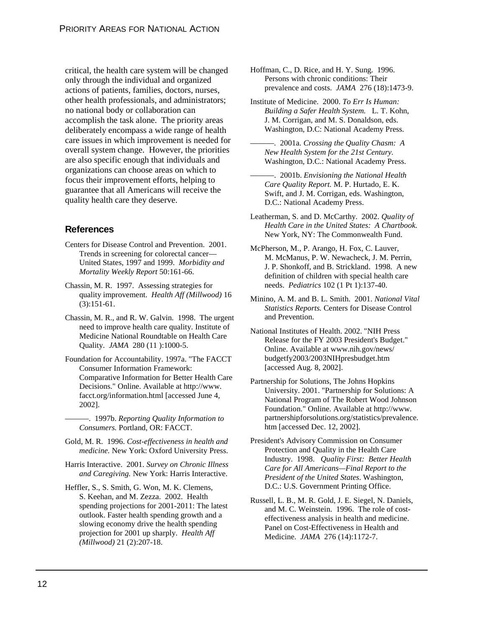critical, the health care system will be changed only through the individual and organized actions of patients, families, doctors, nurses, other health professionals, and administrators; no national body or collaboration can accomplish the task alone. The priority areas deliberately encompass a wide range of health care issues in which improvement is needed for overall system change. However, the priorities are also specific enough that individuals and organizations can choose areas on which to focus their improvement efforts, helping to guarantee that all Americans will receive the quality health care they deserve.

## **References**

- Centers for Disease Control and Prevention. 2001. Trends in screening for colorectal cancer— United States, 1997 and 1999. *Morbidity and Mortality Weekly Report* 50:161-66.
- Chassin, M. R. 1997. Assessing strategies for quality improvement. *Health Aff (Millwood)* 16 (3):151-61.
- Chassin, M. R., and R. W. Galvin. 1998. The urgent need to improve health care quality. Institute of Medicine National Roundtable on Health Care Quality. *JAMA* 280 (11 ):1000-5.
- Foundation for Accountability. 1997a. "The FACCT Consumer Information Framework: Comparative Information for Better Health Care Decisions." Online. Available at http://www. facct.org/information.html [accessed June 4, 2002].
	- ———. 1997b. *Reporting Quality Information to Consumers.* Portland, OR: FACCT.
- Gold, M. R. 1996. *Cost-effectiveness in health and medicine.* New York: Oxford University Press.
- Harris Interactive. 2001. *Survey on Chronic Illness and Caregiving.* New York: Harris Interactive.
- Heffler, S., S. Smith, G. Won, M. K. Clemens, S. Keehan, and M. Zezza. 2002. Health spending projections for 2001-2011: The latest outlook. Faster health spending growth and a slowing economy drive the health spending projection for 2001 up sharply. *Health Aff (Millwood)* 21 (2):207-18.

Hoffman, C., D. Rice, and H. Y. Sung. 1996. Persons with chronic conditions: Their prevalence and costs. *JAMA* 276 (18):1473-9.

- Institute of Medicine. 2000. *To Err Is Human: Building a Safer Health System.* L. T. Kohn, J. M. Corrigan, and M. S. Donaldson, eds. Washington, D.C: National Academy Press.
- ———. 2001a. *Crossing the Quality Chasm: A New Health System for the 21st Century.* Washington, D.C.: National Academy Press.
- ———. 2001b. *Envisioning the National Health Care Quality Report.* M. P. Hurtado, E. K. Swift, and J. M. Corrigan, eds. Washington, D.C.: National Academy Press.
- Leatherman, S. and D. McCarthy. 2002. *Quality of Health Care in the United States: A Chartbook.* New York, NY: The Commonwealth Fund.
- McPherson, M., P. Arango, H. Fox, C. Lauver, M. McManus, P. W. Newacheck, J. M. Perrin, J. P. Shonkoff, and B. Strickland. 1998. A new definition of children with special health care needs. *Pediatrics* 102 (1 Pt 1):137-40.
- Minino, A. M. and B. L. Smith. 2001. *National Vital Statistics Reports.* Centers for Disease Control and Prevention.
- National Institutes of Health. 2002. "NIH Press Release for the FY 2003 President's Budget." Online. Available at www.nih.gov/news/ budgetfy2003/2003NIHpresbudget.htm [accessed Aug. 8, 2002].
- Partnership for Solutions, The Johns Hopkins University. 2001. "Partnership for Solutions: A National Program of The Robert Wood Johnson Foundation." Online. Available at http://www. partnershipforsolutions.org/statistics/prevalence. htm [accessed Dec. 12, 2002].
- President's Advisory Commission on Consumer Protection and Quality in the Health Care Industry. 1998. *Quality First: Better Health Care for All Americans—Final Report to the President of the United States*. Washington, D.C.: U.S. Government Printing Office.
- Russell, L. B., M. R. Gold, J. E. Siegel, N. Daniels, and M. C. Weinstein. 1996. The role of costeffectiveness analysis in health and medicine. Panel on Cost-Effectiveness in Health and Medicine. *JAMA* 276 (14):1172-7.